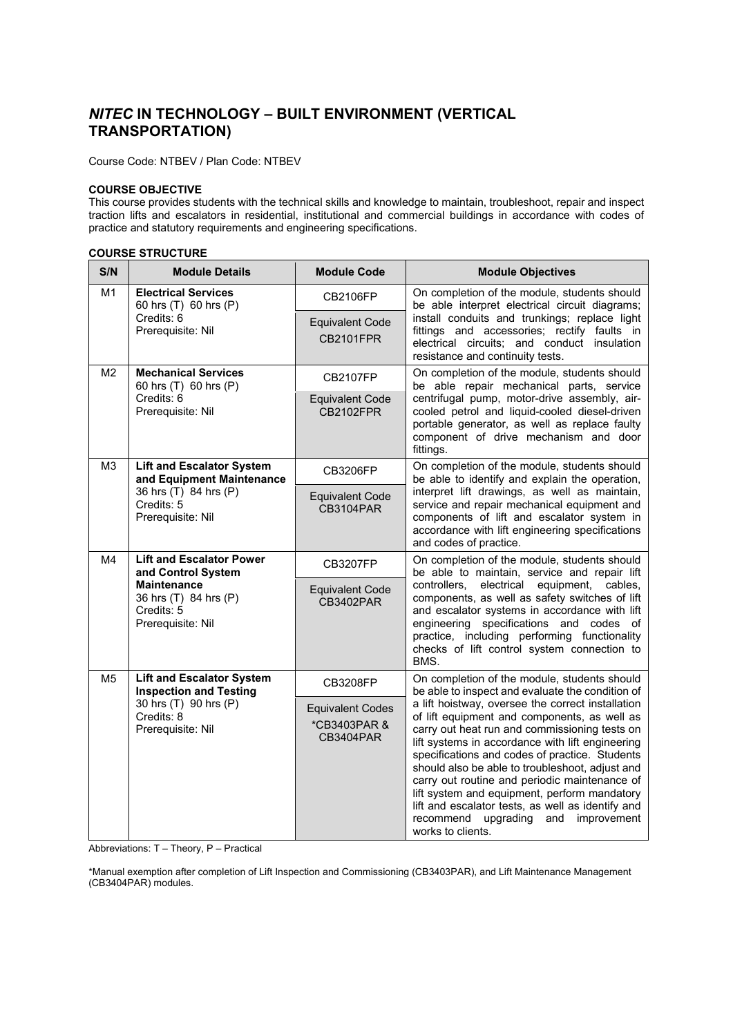# *NITEC* **IN TECHNOLOGY – BUILT ENVIRONMENT (VERTICAL TRANSPORTATION)**

Course Code: NTBEV / Plan Code: NTBEV

#### **COURSE OBJECTIVE**

This course provides students with the technical skills and knowledge to maintain, troubleshoot, repair and inspect traction lifts and escalators in residential, institutional and commercial buildings in accordance with codes of practice and statutory requirements and engineering specifications.

## **COURSE STRUCTURE**

| S/N            | <b>Module Details</b>                                                                                                                   | <b>Module Code</b>                                   | <b>Module Objectives</b>                                                                                                                                                                                                                                                                                                                                                                                                                                                                                                                                                                                                                   |
|----------------|-----------------------------------------------------------------------------------------------------------------------------------------|------------------------------------------------------|--------------------------------------------------------------------------------------------------------------------------------------------------------------------------------------------------------------------------------------------------------------------------------------------------------------------------------------------------------------------------------------------------------------------------------------------------------------------------------------------------------------------------------------------------------------------------------------------------------------------------------------------|
| M <sub>1</sub> | <b>Electrical Services</b><br>60 hrs (T) 60 hrs (P)<br>Credits: 6<br>Prerequisite: Nil                                                  | <b>CB2106FP</b>                                      | On completion of the module, students should<br>be able interpret electrical circuit diagrams;<br>install conduits and trunkings; replace light<br>fittings and accessories; rectify faults in<br>electrical circuits; and conduct insulation<br>resistance and continuity tests.                                                                                                                                                                                                                                                                                                                                                          |
|                |                                                                                                                                         | <b>Equivalent Code</b><br><b>CB2101FPR</b>           |                                                                                                                                                                                                                                                                                                                                                                                                                                                                                                                                                                                                                                            |
| M <sub>2</sub> | <b>Mechanical Services</b><br>60 hrs (T) 60 hrs (P)<br>Credits: 6<br>Prerequisite: Nil                                                  | CB2107FP                                             | On completion of the module, students should<br>be able repair mechanical parts, service<br>centrifugal pump, motor-drive assembly, air-<br>cooled petrol and liquid-cooled diesel-driven<br>portable generator, as well as replace faulty<br>component of drive mechanism and door<br>fittings.                                                                                                                                                                                                                                                                                                                                           |
|                |                                                                                                                                         | <b>Equivalent Code</b><br><b>CB2102FPR</b>           |                                                                                                                                                                                                                                                                                                                                                                                                                                                                                                                                                                                                                                            |
| M3             | <b>Lift and Escalator System</b><br>and Equipment Maintenance<br>36 hrs (T) 84 hrs (P)<br>Credits: 5<br>Prerequisite: Nil               | <b>CB3206FP</b>                                      | On completion of the module, students should<br>be able to identify and explain the operation,<br>interpret lift drawings, as well as maintain,<br>service and repair mechanical equipment and<br>components of lift and escalator system in<br>accordance with lift engineering specifications<br>and codes of practice.                                                                                                                                                                                                                                                                                                                  |
|                |                                                                                                                                         | <b>Equivalent Code</b><br><b>CB3104PAR</b>           |                                                                                                                                                                                                                                                                                                                                                                                                                                                                                                                                                                                                                                            |
| M4             | <b>Lift and Escalator Power</b><br>and Control System<br><b>Maintenance</b><br>36 hrs (T) 84 hrs (P)<br>Credits: 5<br>Prerequisite: Nil | <b>CB3207FP</b>                                      | On completion of the module, students should<br>be able to maintain, service and repair lift<br>electrical equipment,<br>controllers,<br>cables,<br>components, as well as safety switches of lift<br>and escalator systems in accordance with lift<br>engineering specifications and codes of<br>practice, including performing functionality<br>checks of lift control system connection to<br>BMS.                                                                                                                                                                                                                                      |
|                |                                                                                                                                         | <b>Equivalent Code</b><br>CB3402PAR                  |                                                                                                                                                                                                                                                                                                                                                                                                                                                                                                                                                                                                                                            |
| M <sub>5</sub> | <b>Lift and Escalator System</b><br><b>Inspection and Testing</b><br>30 hrs (T) 90 hrs (P)<br>Credits: 8<br>Prerequisite: Nil           | CB3208FP                                             | On completion of the module, students should<br>be able to inspect and evaluate the condition of<br>a lift hoistway, oversee the correct installation<br>of lift equipment and components, as well as<br>carry out heat run and commissioning tests on<br>lift systems in accordance with lift engineering<br>specifications and codes of practice. Students<br>should also be able to troubleshoot, adjust and<br>carry out routine and periodic maintenance of<br>lift system and equipment, perform mandatory<br>lift and escalator tests, as well as identify and<br>recommend<br>upgrading<br>improvement<br>and<br>works to clients. |
|                |                                                                                                                                         | <b>Equivalent Codes</b><br>*CB3403PAR &<br>CB3404PAR |                                                                                                                                                                                                                                                                                                                                                                                                                                                                                                                                                                                                                                            |

Abbreviations: T – Theory, P – Practical

\*Manual exemption after completion of Lift Inspection and Commissioning (CB3403PAR), and Lift Maintenance Management (CB3404PAR) modules.